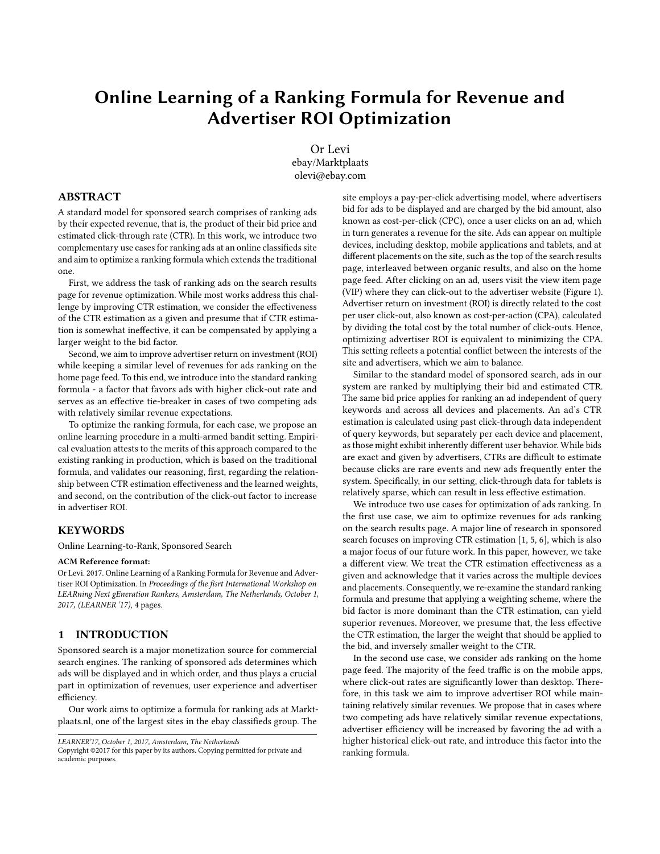# Online Learning of a Ranking Formula for Revenue and Advertiser ROI Optimization

Or Levi ebay/Marktplaats olevi@ebay.com

## ABSTRACT

A standard model for sponsored search comprises of ranking ads by their expected revenue, that is, the product of their bid price and estimated click-through rate (CTR). In this work, we introduce two complementary use cases for ranking ads at an online classifieds site and aim to optimize a ranking formula which extends the traditional one.

First, we address the task of ranking ads on the search results page for revenue optimization. While most works address this challenge by improving CTR estimation, we consider the effectiveness of the CTR estimation as a given and presume that if CTR estimation is somewhat ineffective, it can be compensated by applying a larger weight to the bid factor.

Second, we aim to improve advertiser return on investment (ROI) while keeping a similar level of revenues for ads ranking on the home page feed. To this end, we introduce into the standard ranking formula - a factor that favors ads with higher click-out rate and serves as an effective tie-breaker in cases of two competing ads with relatively similar revenue expectations.

To optimize the ranking formula, for each case, we propose an online learning procedure in a multi-armed bandit setting. Empirical evaluation attests to the merits of this approach compared to the existing ranking in production, which is based on the traditional formula, and validates our reasoning, first, regarding the relationship between CTR estimation effectiveness and the learned weights, and second, on the contribution of the click-out factor to increase in advertiser ROI.

## **KEYWORDS**

Online Learning-to-Rank, Sponsored Search

#### ACM Reference format:

Or Levi. 2017. Online Learning of a Ranking Formula for Revenue and Advertiser ROI Optimization. In Proceedings o*f the fisrt International Workshop on [LE](#page-3-0)ARning Next gEneration Rankers, Amsterdam, The Netherlands, October 1, [2017, \(LEARNER '17\)](https://doi.org/10.1145/nnnnnnn.nnnnnnn)*, 4 pages.

# 1 INTRODUCTION

Sponsored search is a major monetization source for commercial search engines. The ranking of sponsored ads determines which ads will be displayed and in which order, and thus plays a crucial part in optimization of revenues, user experience and advertiser efficiency.

Our work aims to optimize a formula for ranking ads at Marktplaats.nl, one of the largest sites in the ebay classifieds group. The

site employs a pay-per-click advertising model, where advertisers bid for ads to be displayed and are charged by the bid amount, also known as cost-per-click (CPC), once a user clicks on an ad, which in turn generates a revenue for the site. Ads can appear on multiple devices, including desktop, mobile applications and tablets, and at different placements on the site, such as the top of the search results page, interleaved between organic results, and also on the home page feed. After clicking on an ad, users visit the view item page (VIP) where they can click-out to the advertiser website (Figure 1). Advertiser return on investment (ROI) is directly related to the cost per user click-out, also known as cost-per-action (CPA), calculated by dividing the total cost by the total number of click-outs. Hence, optimizing advertiser ROI is equivalent to minimizing the CPA. This setting reflects a potential conflict between the interests of the site and advertisers, which we aim to balance.

Similar to the standard model of sponsored search, ads in our system are ranked by multiplying their bid and estimated CTR. The same bid price applies for ranking an ad independent of query keywords and across all devices and placements. An ad's CTR estimation is calculated using past click-through data independent of query keywords, but separately per each device and placement, as those might exhibit inherently different user behavior. While bids are exact and given by advertisers, CTRs are difficult to estimate because clicks are rare events and new ads frequently enter the system. Specifically, in our setting, click-through data for tablets is relatively sparse, which can result in less effective estimation.

We introduce two use cases for optimization of ads ranking. In the first use case, we aim to optimize revenues for ads ranking on the search results page. A major line of research in sponsored search focuses on improving CTR estimation [\[1,](#page-3-1) [5,](#page-3-2) [6\]](#page-3-3), which is also a major focus of our future work. In this paper, however, we take a different view. We treat the CTR estimation effectiveness as a given and acknowledge that it varies across the multiple devices and placements. Consequently, we re-examine the standard ranking formula and presume that applying a weighting scheme, where the bid factor is more dominant than the CTR estimation, can yield superior revenues. Moreover, we presume that, the less effective the CTR estimation, the larger the weight that should be applied to the bid, and inversely smaller weight to the CTR.

In the second use case, we consider ads ranking on the home page feed. The majority of the feed traffic is on the mobile apps, where click-out rates are significantly lower than desktop. Therefore, in this task we aim to improve advertiser ROI while maintaining relatively similar revenues. We propose that in cases where two competing ads have relatively similar revenue expectations, advertiser efficiency will be increased by favoring the ad with a higher historical click-out rate, and introduce this factor into the ranking formula.

*LEARNER'17, October 1, 2017, Amsterdam, The Netherlands*

Copyright ©2017 for this paper by its authors. Copying permitted for private and [academic purposes.](https://doi.org/10.1145/nnnnnnn.nnnnnnn)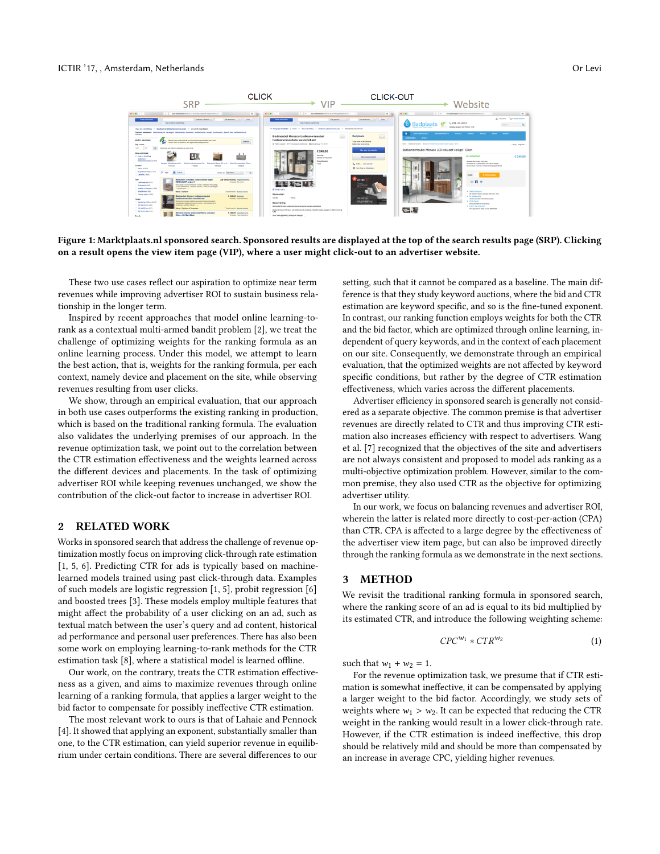#### ICTIR '17, , Amsterdam, Netherlands Or Levi



Figure 1: Marktplaats.nl sponsored search. Sponsored results are displayed at the top of the search results page (SRP). Clicking on a result opens the view item page (VIP), where a user might click-out to an advertiser website.

These two use cases reflect our aspiration to optimize near term revenues while improving advertiser ROI to sustain business relationship in the longer term.

Inspired by recent approaches that model online learning-torank as a contextual multi-armed bandit problem [\[2\]](#page-3-4), we treat the challenge of optimizing weights for the ranking formula as an online learning process. Under this model, we attempt to learn the best action, that is, weights for the ranking formula, per each context, namely device and placement on the site, while observing revenues resulting from user clicks.

We show, through an empirical evaluation, that our approach in both use cases outperforms the existing ranking in production, which is based on the traditional ranking formula. The evaluation also validates the underlying premises of our approach. In the revenue optimization task, we point out to the correlation between the CTR estimation effectiveness and the weights learned across the different devices and placements. In the task of optimizing advertiser ROI while keeping revenues unchanged, we show the contribution of the click-out factor to increase in advertiser ROI.

## 2 RELATED WORK

Works in sponsored search that address the challenge of revenue optimization mostly focus on improving click-through rate estimation [\[1,](#page-3-1) [5,](#page-3-2) [6\]](#page-3-3). Predicting CTR for ads is typically based on machinelearned models trained using past click-through data. Examples of such models are logistic regression [\[1,](#page-3-1) [5\]](#page-3-2), probit regression [\[6\]](#page-3-3) and boosted trees [\[3\]](#page-3-5). These models employ multiple features that might affect the probability of a user clicking on an ad, such as textual match between the user's query and ad content, historical ad performance and personal user preferences. There has also been some work on employing learning-to-rank methods for the CTR estimation task [\[8\]](#page-3-6), where a statistical model is learned offline.

Our work, on the contrary, treats the CTR estimation effectiveness as a given, and aims to maximize revenues through online learning of a ranking formula, that applies a larger weight to the bid factor to compensate for possibly ineffective CTR estimation.

The most relevant work to ours is that of Lahaie and Pennock [\[4\]](#page-3-7). It showed that applying an exponent, substantially smaller than one, to the CTR estimation, can yield superior revenue in equilibrium under certain conditions. There are several differences to our

setting, such that it cannot be compared as a baseline. The main difference is that they study keyword auctions, where the bid and CTR estimation are keyword specific, and so is the fine-tuned exponent. In contrast, our ranking function employs weights for both the CTR and the bid factor, which are optimized through online learning, independent of query keywords, and in the context of each placement on our site. Consequently, we demonstrate through an empirical evaluation, that the optimized weights are not affected by keyword specific conditions, but rather by the degree of CTR estimation effectiveness, which varies across the different placements.

Advertiser efficiency in sponsored search is generally not considered as a separate objective. The common premise is that advertiser revenues are directly related to CTR and thus improving CTR estimation also increases efficiency with respect to advertisers. Wang et al. [\[7\]](#page-3-8) recognized that the objectives of the site and advertisers are not always consistent and proposed to model ads ranking as a multi-objective optimization problem. However, similar to the common premise, they also used CTR as the objective for optimizing advertiser utility.

In our work, we focus on balancing revenues and advertiser ROI, wherein the latter is related more directly to cost-per-action (CPA) than CTR. CPA is affected to a large degree by the effectiveness of the advertiser view item page, but can also be improved directly through the ranking formula as we demonstrate in the next sections.

# 3 METHOD

We revisit the traditional ranking formula in sponsored search, where the ranking score of an ad is equal to its bid multiplied by its estimated CTR, and introduce the following weighting scheme:

$$
CPC^{w_1} * CTR^{w_2} \tag{1}
$$

such that  $w_1 + w_2 = 1$ .

For the revenue optimization task, we presume that if CTR estimation is somewhat ineffective, it can be compensated by applying a larger weight to the bid factor. Accordingly, we study sets of weights where  $w_1 > w_2$ . It can be expected that reducing the CTR weight in the ranking would result in a lower click-through rate. However, if the CTR estimation is indeed ineffective, this drop should be relatively mild and should be more than compensated by an increase in average CPC, yielding higher revenues.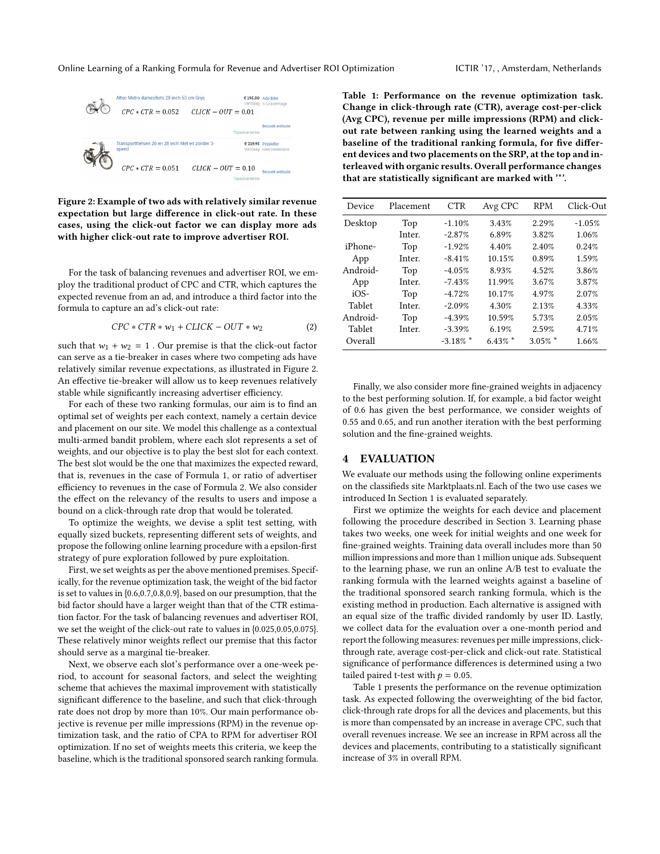

Figure 2: Example of two ads with relatively similar revenue expectation but large difference in click-out rate. In these cases, using the click-out factor we can display more ads with higher click-out rate to improve advertiser ROI.

For the task of balancing revenues and advertiser ROI, we employ the traditional product of CPC and CTR, which captures the expected revenue from an ad, and introduce a third factor into the formula to capture an ad's click-out rate:

$$
CPC * CTR * w_1 + CLICK - OUT * w_2 \qquad \qquad (2)
$$

such that  $w_1 + w_2 = 1$ . Our premise is that the click-out factor can serve as a tie-breaker in cases where two competing ads have relatively similar revenue expectations, as illustrated in Figure 2. An effective tie-breaker will allow us to keep revenues relatively stable while significantly increasing advertiser efficiency.

For each of these two ranking formulas, our aim is to find an optimal set of weights per each context, namely a certain device and placement on our site. We model this challenge as a contextual multi-armed bandit problem, where each slot represents a set of weights, and our objective is to play the best slot for each context. The best slot would be the one that maximizes the expected reward, that is, revenues in the case of Formula 1, or ratio of advertiser efficiency to revenues in the case of Formula 2. We also consider the effect on the relevancy of the results to users and impose a bound on a click-through rate drop that would be tolerated.

To optimize the weights, we devise a split test setting, with equally sized buckets, representing different sets of weights, and propose the following online learning procedure with a epsilon-first strategy of pure exploration followed by pure exploitation.

First, we set weights as per the above mentioned premises. Specifically, for the revenue optimization task, the weight of the bid factor is set to values in {0.6,0.7,0.8,0.9}, based on our presumption, that the bid factor should have a larger weight than that of the CTR estimation factor. For the task of balancing revenues and advertiser ROI, we set the weight of the click-out rate to values in {0.025,0.05,0.075}. These relatively minor weights reflect our premise that this factor should serve as a marginal tie-breaker.

Next, we observe each slot's performance over a one-week period, to account for seasonal factors, and select the weighting scheme that achieves the maximal improvement with statistically significant difference to the baseline, and such that click-through rate does not drop by more than 10%. Our main performance objective is revenue per mille impressions (RPM) in the revenue optimization task, and the ratio of CPA to RPM for advertiser ROI optimization. If no set of weights meets this criteria, we keep the baseline, which is the traditional sponsored search ranking formula. Table 1: Performance on the revenue optimization task. Change in click-through rate (CTR), average cost-per-click (Avg CPC), revenue per mille impressions (RPM) and clickout rate between ranking using the learned weights and a baseline of the traditional ranking formula, for five different devices and two placements on the SRP, at the top and interleaved with organic results. Overall performance changes that are statistically significant are marked with '\*'.

| Device   | Placement | <b>CTR</b>  | Avg CPC    | <b>RPM</b> | Click-Out |
|----------|-----------|-------------|------------|------------|-----------|
| Desktop  | Top       | $-1.10%$    | 3.43%      | 2.29%      | $-1.05%$  |
|          | Inter.    | $-2.87%$    | 6.89%      | 3.82%      | 1.06%     |
| iPhone-  | Top       | $-1.92%$    | 4.40%      | 2.40%      | 0.24%     |
| App      | Inter.    | $-8.41%$    | 10.15%     | 0.89%      | 1.59%     |
| Android- | Top       | $-4.05%$    | 8.93%      | 4.52%      | 3.86%     |
| App      | Inter.    | $-7.43%$    | 11.99%     | 3.67%      | 3.87%     |
| $iOS-$   | Top       | $-4.72%$    | 10.17%     | 4.97%      | 2.07%     |
| Tablet   | Inter.    | $-2.09%$    | 4.30%      | 2.13%      | 4.33%     |
| Android- | Top       | $-4.39%$    | 10.59%     | 5.73%      | 2.05%     |
| Tablet   | Inter.    | $-3.39%$    | 6.19%      | 2.59%      | 4.71%     |
| Overall  |           | $-3.18\%$ * | $6.43\%$ * | $3.05\%$ * | 1.66%     |

Finally, we also consider more fine-grained weights in adjacency to the best performing solution. If, for example, a bid factor weight of 0.6 has given the best performance, we consider weights of 0.55 and 0.65, and run another iteration with the best performing solution and the fine-grained weights.

### 4 EVALUATION

We evaluate our methods using the following online experiments on the classifieds site Marktplaats.nl. Each of the two use cases we introduced In Section 1 is evaluated separately.

First we optimize the weights for each device and placement following the procedure described in Section 3. Learning phase takes two weeks, one week for initial weights and one week for fine-grained weights. Training data overall includes more than 50 million impressions and more than 1 million unique ads. Subsequent to the learning phase, we run an online A/B test to evaluate the ranking formula with the learned weights against a baseline of the traditional sponsored search ranking formula, which is the existing method in production. Each alternative is assigned with an equal size of the traffic divided randomly by user ID. Lastly, we collect data for the evaluation over a one-month period and report the following measures: revenues per mille impressions, clickthrough rate, average cost-per-click and click-out rate. Statistical significance of performance differences is determined using a two tailed paired t-test with  $p = 0.05$ .

Table 1 presents the performance on the revenue optimization task. As expected following the overweighting of the bid factor, click-through rate drops for all the devices and placements, but this is more than compensated by an increase in average CPC, such that overall revenues increase. We see an increase in RPM across all the devices and placements, contributing to a statistically significant increase of 3% in overall RPM.